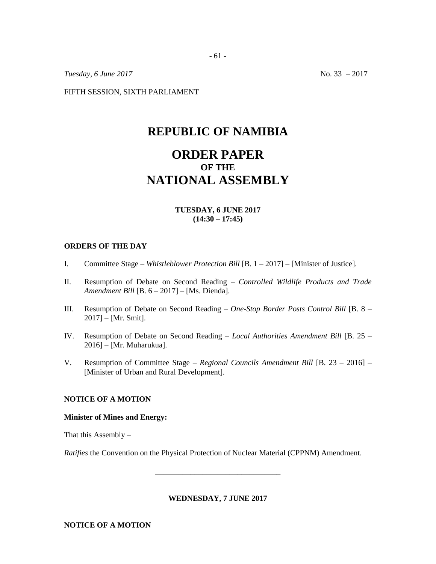*Tuesday, 6 June 2017* No. 33 – 2017

FIFTH SESSION, SIXTH PARLIAMENT

# **REPUBLIC OF NAMIBIA**

# **ORDER PAPER OF THE NATIONAL ASSEMBLY**

#### **TUESDAY, 6 JUNE 2017 (14:30 – 17:45)**

#### **ORDERS OF THE DAY**

- I. Committee Stage *Whistleblower Protection Bill* [B. 1 2017] [Minister of Justice].
- II. Resumption of Debate on Second Reading *Controlled Wildlife Products and Trade Amendment Bill* [B. 6 – 2017] – [Ms. Dienda].
- III. Resumption of Debate on Second Reading *One-Stop Border Posts Control Bill* [B. 8 2017] – [Mr. Smit].
- IV. Resumption of Debate on Second Reading *Local Authorities Amendment Bill* [B. 25 2016] – [Mr. Muharukua].
- V. Resumption of Committee Stage *Regional Councils Amendment Bill* [B. 23 2016] [Minister of Urban and Rural Development].

#### **NOTICE OF A MOTION**

#### **Minister of Mines and Energy:**

That this Assembly –

*Ratifies* the Convention on the Physical Protection of Nuclear Material (CPPNM) Amendment.

**WEDNESDAY, 7 JUNE 2017**

\_\_\_\_\_\_\_\_\_\_\_\_\_\_\_\_\_\_\_\_\_\_\_\_\_\_\_\_\_\_\_\_

**NOTICE OF A MOTION**